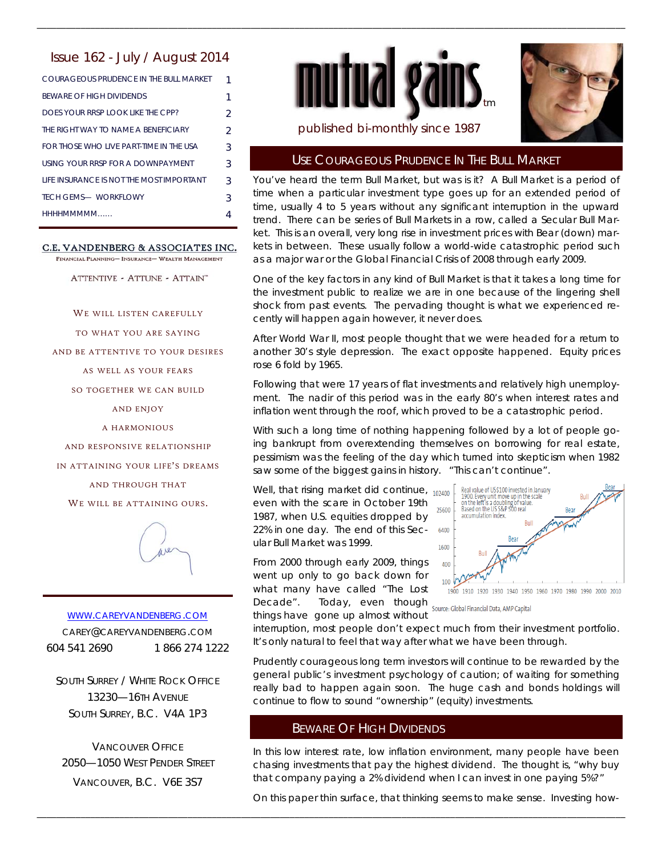# Issue 162 - July / August 2014

| COURAGEOUS PRUDENCE IN THE BUIL MARKET   |                |
|------------------------------------------|----------------|
| <b>BEWARE OF HIGH DIVIDENDS</b>          | 1              |
| DOES YOUR RRSP LOOK LIKE THE CPP?        | $\mathfrak{D}$ |
| THE RIGHT WAY TO NAME A BENEFICIARY      | $\mathfrak{D}$ |
| FOR THOSE WHO LIVE PART-TIME IN THE USA  | 3              |
| USING YOUR RRSP FOR A DOWNPAYMENT        | 3              |
| LIFE INSURANCE IS NOT THE MOST IMPORTANT | 3              |
| <b>TECH GEMS- WORKELOWY</b>              | 3              |
| HHHHMMMMM                                |                |
|                                          |                |

#### C.E. VANDENBERG & ASSOCIATES INC.

FINANCIAL PLANNING- INSURANCE- WEALTH MANAGEMENT

ATTENTIVE - ATTUNE - ATTAIN"

WE WILL LISTEN CAREFULLY

TO WHAT YOU ARE SAYING

AND BE ATTENTIVE TO YOUR DESIRES

AS WELL AS YOUR FEARS

SO TOGETHER WE CAN BUILD

AND ENJOY

A HARMONIOUS

AND RESPONSIVE RELATIONSHIP

IN ATTAINING YOUR LIFE'S DREAMS

AND THROUGH THAT

WE WILL BE ATTAINING OURS.



WWW.CAREYVANDENBERG.COM CAREY@CAREYVANDENBERG.COM 604 541 2690 1 866 274 1222

SOUTH SURREY / WHITE ROCK OFFICE 13230—16TH AVENUE SOUTH SURREY, B.C. V4A 1P3

VANCOUVER OFFICE 2050—1050 WEST PENDER STREET VANCOUVER, B.C. V6E 3S7





published bi-monthly since 1987

\_\_\_\_\_\_\_\_\_\_\_\_\_\_\_\_\_\_\_\_\_\_\_\_\_\_\_\_\_\_\_\_\_\_\_\_\_\_\_\_\_\_\_\_\_\_\_\_\_\_\_\_\_\_\_\_\_\_\_\_\_\_\_\_\_\_\_\_\_\_\_\_\_\_\_\_\_\_\_\_\_\_\_\_\_\_\_\_\_\_\_\_\_\_\_\_\_\_\_\_\_\_\_\_\_\_\_\_\_\_\_\_\_\_\_\_\_\_\_\_\_

### USE COURAGEOUS PRUDENCE IN THE BULL MARKET

You've heard the term Bull Market, but was is it? A Bull Market is a period of time when a particular investment type goes up for an extended period of time, usually 4 to 5 years without any significant interruption in the upward trend. There can be series of Bull Markets in a row, called a Secular Bull Market. This is an overall, very long rise in investment prices with Bear (down) markets in between. These usually follow a world-wide catastrophic period such as a major war or the Global Financial Crisis of 2008 through early 2009.

One of the key factors in any kind of Bull Market is that it takes a long time for the investment public to realize we are in one because of the lingering shell shock from past events. The pervading thought is what we experienced recently will happen again however, it never does.

After World War II, most people thought that we were headed for a return to another 30's style depression. The exact opposite happened. Equity prices rose 6 fold by 1965.

Following that were 17 years of flat investments and relatively high unemployment. The nadir of this period was in the early 80's when interest rates and inflation went through the roof, which proved to be a catastrophic period.

With such a long time of nothing happening followed by a lot of people going bankrupt from overextending themselves on borrowing for real estate, pessimism was the feeling of the day which turned into skepticism when 1982 saw some of the biggest gains in history. "This can't continue".

Well, that rising market did continue, 102400 even with the scare in October 19th 1987, when U.S. equities dropped by 22% in one day. The end of this Secular Bull Market was 1999.

From 2000 through early 2009, things went up only to go back down for what many have called "The Lost **Decade".** Today, even though Source: Global Financial Data, AMP Capital things have gone up almost without



interruption, most people don't expect much from their investment portfolio. It's only natural to feel that way after what we have been through.

Prudently courageous long term investors will continue to be rewarded by the general public's investment psychology of caution; of waiting for something really bad to happen again soon. The huge cash and bonds holdings will continue to flow to sound "ownership" (equity) investments.

## BEWARE OF HIGH DIVIDENDS

\_\_\_\_\_\_\_\_\_\_\_\_\_\_\_\_\_\_\_\_\_\_\_\_\_\_\_\_\_\_\_\_\_\_\_\_\_\_\_\_\_\_\_\_\_\_\_\_\_\_\_\_\_\_\_\_\_\_\_\_\_\_\_\_\_\_\_\_\_\_\_\_\_\_\_\_\_\_\_\_\_\_\_\_\_\_\_\_\_\_\_\_\_\_\_\_\_\_\_\_\_\_\_\_\_\_\_\_\_\_\_\_\_\_\_\_\_\_\_\_\_

In this low interest rate, low inflation environment, many people have been chasing investments that pay the highest dividend. The thought is, "why buy that company paying a 2% dividend when I can invest in one paying 5%?"

On this paper thin surface, that thinking seems to make sense. Investing how-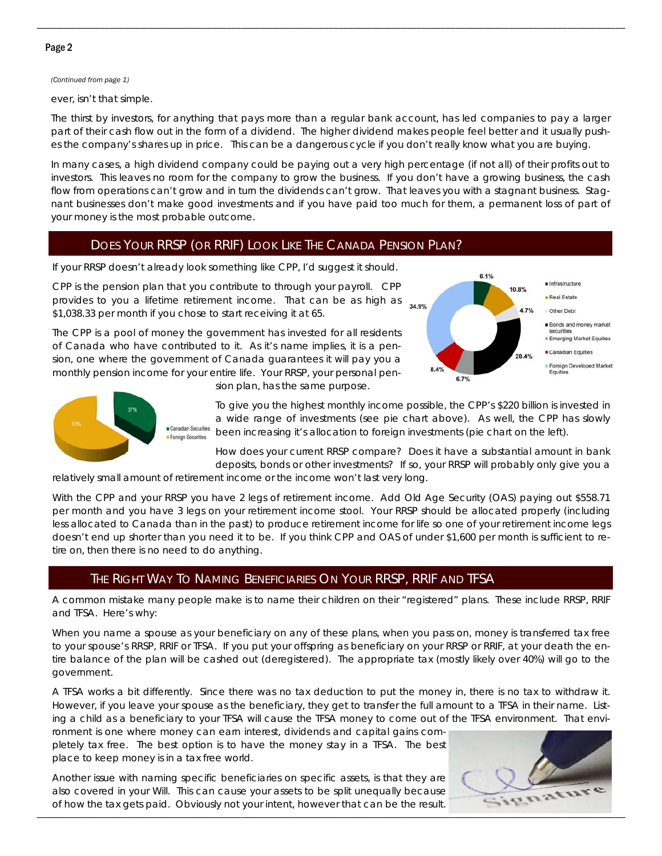### Page 2

### *(Continued from page 1)*

ever, isn't that simple.

The thirst by investors, for anything that pays more than a regular bank account, has led companies to pay a larger part of their cash flow out in the form of a dividend. The higher dividend makes people feel better and it usually pushes the company's shares up in price. This can be a dangerous cycle if you don't really know what you are buying.

\_\_\_\_\_\_\_\_\_\_\_\_\_\_\_\_\_\_\_\_\_\_\_\_\_\_\_\_\_\_\_\_\_\_\_\_\_\_\_\_\_\_\_\_\_\_\_\_\_\_\_\_\_\_\_\_\_\_\_\_\_\_\_\_\_\_\_\_\_\_\_\_\_\_\_\_\_\_\_\_\_\_\_\_\_\_\_\_\_\_\_\_\_\_\_\_\_\_\_\_\_\_\_\_\_\_\_\_\_\_\_\_\_\_\_\_\_\_\_\_\_

In many cases, a high dividend company could be paying out a very high percentage (if not all) of their profits out to investors. This leaves no room for the company to grow the business. If you don't have a growing business, the cash flow from operations can't grow and in turn the dividends can't grow. That leaves you with a stagnant business. Stagnant businesses don't make good investments and if you have paid too much for them, a permanent loss of part of your money is the most probable outcome.

# DOES YOUR RRSP (OR RRIF) LOOK LIKE THE CANADA PENSION PLAN?

If your RRSP doesn't already look something like CPP, I'd suggest it should.

CPP is the pension plan that you contribute to through your payroll. CPP provides to you a lifetime retirement income. That can be as high as  $\frac{34.9\%}{34.9\%}$ \$1,038.33 per month if you chose to start receiving it at 65.

The CPP is a pool of money the government has invested for all residents of Canada who have contributed to it. As it's name implies, it is a pension, one where the government of Canada guarantees it will pay you a monthly pension income for your entire life. Your RRSP, your personal pen-





sion plan, has the same purpose.

To give you the highest monthly income possible, the CPP's \$220 billion is invested in a wide range of investments (see pie chart above). As well, the CPP has slowly been increasing it's allocation to foreign investments (pie chart on the left).

 $8.4%$ 

 $6.7%$ 

 $6.1%$ 

10.8%

 $4.7%$ 

28.4%

Infrastructure

Real Estate

Other Debt

Equitie

Bonds and money market Emerging Market Equities Canadian Equities

Foreign Developed Market

How does your current RRSP compare? Does it have a substantial amount in bank deposits, bonds or other investments? If so, your RRSP will probably only give you a relatively small amount of retirement income or the income won't last very long.

With the CPP and your RRSP you have 2 legs of retirement income. Add Old Age Security (OAS) paying out \$558.71 per month and you have 3 legs on your retirement income stool. Your RRSP should be allocated properly (including less allocated to Canada than in the past) to produce retirement income for life so one of your retirement income legs doesn't end up shorter than you need it to be. If you think CPP and OAS of under \$1,600 per month is sufficient to retire on, then there is no need to do anything.

# THE RIGHT WAY TO NAMING BENEFICIARIES ON YOUR RRSP, RRIF AND TFSA

A common mistake many people make is to name their children on their "registered" plans. These include RRSP, RRIF and TFSA. Here's why:

When you name a spouse as your beneficiary on any of these plans, when you pass on, money is transferred tax free to your spouse's RRSP, RRIF or TFSA. If you put your offspring as beneficiary on your RRSP or RRIF, at your death the entire balance of the plan will be cashed out (deregistered). The appropriate tax (mostly likely over 40%) will go to the government.

A TFSA works a bit differently. Since there was no tax deduction to put the money in, there is no tax to withdraw it. However, if you leave your spouse as the beneficiary, they get to transfer the full amount to a TFSA in their name. Listing a child as a beneficiary to your TFSA will cause the TFSA money to come out of the TFSA environment. That envi-

ronment is one where money can earn interest, dividends and capital gains completely tax free. The best option is to have the money stay in a TFSA. The best place to keep money is in a tax free world.

Another issue with naming specific beneficiaries on specific assets, is that they are also covered in your Will. This can cause your assets to be split unequally because of how the tax gets paid. Obviously not your intent, however that can be the result.

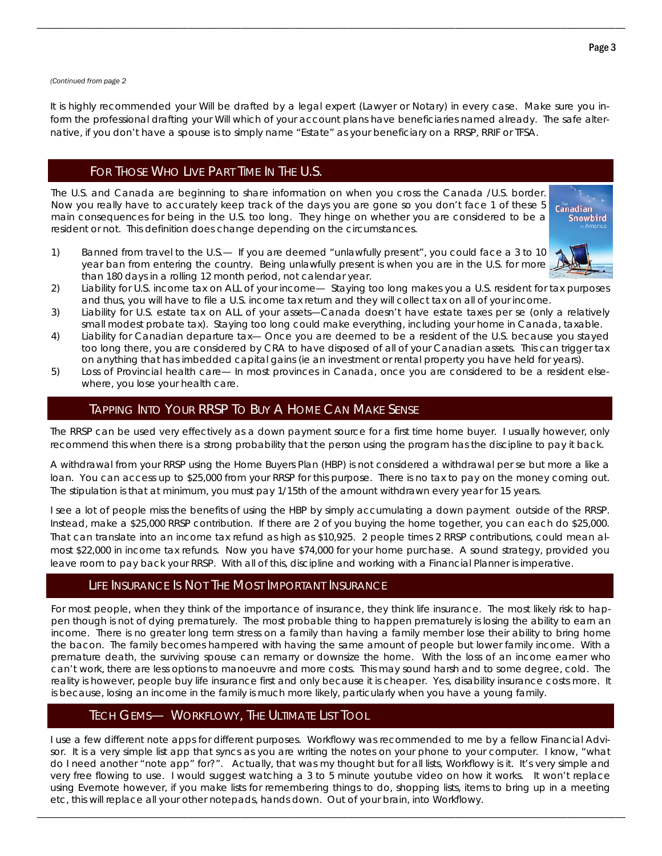#### *(Continued from page 2*

It is highly recommended your Will be drafted by a legal expert (Lawyer or Notary) in every case. Make sure you inform the professional drafting your Will which of your account plans have beneficiaries named already. The safe alternative, if you don't have a spouse is to simply name "Estate" as your beneficiary on a RRSP, RRIF or TFSA.

\_\_\_\_\_\_\_\_\_\_\_\_\_\_\_\_\_\_\_\_\_\_\_\_\_\_\_\_\_\_\_\_\_\_\_\_\_\_\_\_\_\_\_\_\_\_\_\_\_\_\_\_\_\_\_\_\_\_\_\_\_\_\_\_\_\_\_\_\_\_\_\_\_\_\_\_\_\_\_\_\_\_\_\_\_\_\_\_\_\_\_\_\_\_\_\_\_\_\_\_\_\_\_\_\_\_\_\_\_\_\_\_\_\_\_\_\_\_\_\_\_

# FOR THOSE WHO LIVE PART TIME IN THE U.S.

The U.S. and Canada are beginning to share information on when you cross the Canada /U.S. border. Now you really have to accurately keep track of the days you are gone so you don't face 1 of these 5 Canadian main consequences for being in the U.S. too long. They hinge on whether you are considered to be a resident or not. This definition does change depending on the circumstances.

- 1) Banned from travel to the U.S.— If you are deemed "unlawfully present", you could face a 3 to 10 year ban from entering the country. Being unlawfully present is when you are in the U.S. for more than 180 days in a rolling 12 month period, not calendar year.
- 2) Liability for U.S. income tax on ALL of your income— Staying too long makes you a U.S. resident for tax purposes and thus, you will have to file a U.S. income tax return and they will collect tax on all of your income.
- 3) Liability for U.S. estate tax on ALL of your assets—Canada doesn't have estate taxes per se (only a relatively small modest probate tax). Staying too long could make everything, including your home in Canada, taxable.
- 4) Liability for Canadian departure tax— Once you are deemed to be a resident of the U.S. because you stayed too long there, you are considered by CRA to have disposed of all of your Canadian assets. This can trigger tax on anything that has imbedded capital gains (ie an investment or rental property you have held for years).
- 5) Loss of Provincial health care— In most provinces in Canada, once you are considered to be a resident elsewhere, you lose your health care.

# TAPPING INTO YOUR RRSP TO BUY A HOME CAN MAKE SENSE

The RRSP can be used very effectively as a down payment source for a first time home buyer. I usually however, only recommend this when there is a strong probability that the person using the program has the discipline to pay it back.

A withdrawal from your RRSP using the Home Buyers Plan (HBP) is not considered a withdrawal per se but more a like a loan. You can access up to \$25,000 from your RRSP for this purpose. There is no tax to pay on the money coming out. The stipulation is that at minimum, you must pay 1/15th of the amount withdrawn every year for 15 years.

I see a lot of people miss the benefits of using the HBP by simply accumulating a down payment outside of the RRSP. Instead, make a \$25,000 RRSP contribution. If there are 2 of you buying the home together, you can each do \$25,000. That can translate into an income tax refund as high as \$10,925. 2 people times 2 RRSP contributions, could mean almost \$22,000 in income tax refunds. Now you have \$74,000 for your home purchase. A sound strategy, provided you leave room to pay back your RRSP. With all of this, discipline and working with a Financial Planner is imperative.

## LIFE INSURANCE IS NOT THE MOST IMPORTANT INSURANCE

For most people, when they think of the importance of insurance, they think life insurance. The most likely risk to happen though is not of dying prematurely. The most probable thing to happen prematurely is losing the ability to earn an income. There is no greater long term stress on a family than having a family member lose their ability to bring home the bacon. The family becomes hampered with having the same amount of people but lower family income. With a premature death, the surviving spouse can remarry or downsize the home. With the loss of an income earner who can't work, there are less options to manoeuvre and more costs. This may sound harsh and to some degree, cold. The reality is however, people buy life insurance first and only because it is cheaper. Yes, disability insurance costs more. It is because, losing an income in the family is much more likely, particularly when you have a young family.

# TECH GEMS— WORKFLOWY, THE ULTIMATE LIST TOOL

I use a few different note apps for different purposes. Workflowy was recommended to me by a fellow Financial Advisor. It is a very simple list app that syncs as you are writing the notes on your phone to your computer. I know, "what do I need another "note app" for?". Actually, that was my thought but for all lists, Workflowy is it. It's very simple and very free flowing to use. I would suggest watching a 3 to 5 minute youtube video on how it works. It won't replace using Evernote however, if you make lists for remembering things to do, shopping lists, items to bring up in a meeting etc, this will replace all your other notepads, hands down. Out of your brain, into Workflowy.

\_\_\_\_\_\_\_\_\_\_\_\_\_\_\_\_\_\_\_\_\_\_\_\_\_\_\_\_\_\_\_\_\_\_\_\_\_\_\_\_\_\_\_\_\_\_\_\_\_\_\_\_\_\_\_\_\_\_\_\_\_\_\_\_\_\_\_\_\_\_\_\_\_\_\_\_\_\_\_\_\_\_\_\_\_\_\_\_\_\_\_\_\_\_\_\_\_\_\_\_\_\_\_\_\_\_\_\_\_\_\_\_\_\_\_\_\_\_\_\_\_



Snowbird